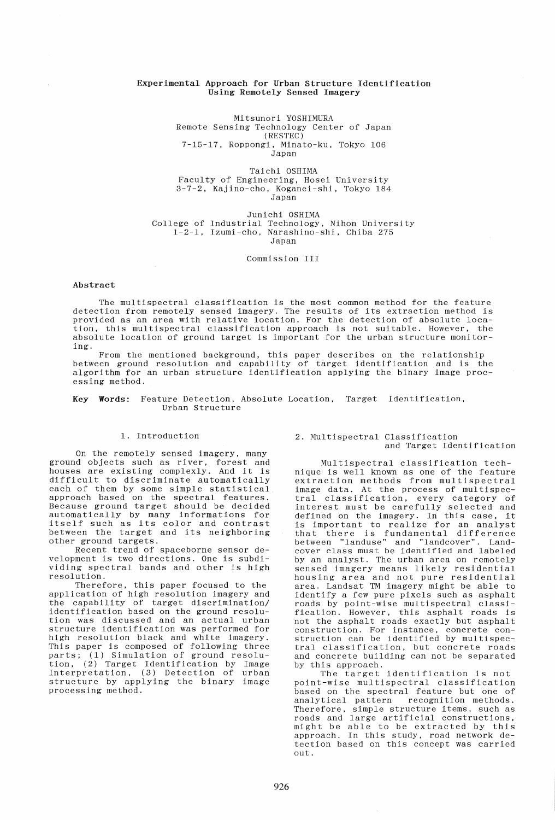## Experimental Approach for Urban Structure Identification Using Remotely Sensed Imagery

Mitsunori YOSHIMURA Remote Sensing Technology Center of Japan (RESTEC) 7-15-17, Roppongi, Minato-ku, Tokyo 106 Japan

Taichi OSHIMA Faculty of Engineering, Hosei University 3-7-2, Kajino-cho, Koganei-shi, Tokyo 184 Japan

Junichi OSHIMA College of Industrial Technology, Nihon University 1-2-1, Izumi-cho, Narashino-shi, Chiba 275 Japan

Commission III

#### Abstract

The multispectral classification is the most common method for the feature detection from remotely sensed imagery. The results of its extraction method is provided as an area with relative location. For the detection of absolute location, this multispectral classification approach is not sui table. However, the absolute location of ground target is important for the urban structure monitoring.

From the mentioned background, this paper describes on the relationship between ground resolution and capability of target identification and is the algorithm for an urban structure identification applying the binary image processing method.

#### Key Words: Feature Detection, Absolute Location, Target Identification, Urban Structure

# 1. Introduction

On the remotely sensed imagery, many ground objects such as river, forest and houses are existing complexly. And it is difficult to discriminate automatically each of them by some simple statistical approach based on the spectral features. Because ground target should be decided automatically by many informations for itself such as its color and contrast between the target and its neighboring other ground targets.

Recent trend of spaceborne sensor development is two directions. One is subdividing spectral bands and other is high resolution.

Therefore, this paper focused to the application of high resolution imagery and the capability of target discrimination/ identification based on the ground resolution was discussed and an actual urban structure identification was performed for high resolution black and white imagery. This paper is composed of following three parts; (1) Simulation of ground resolution, (2) Target Identification by Image Interpretation, (3) Detection of urban structure by applying the binary image processing method.

### 2. Multispectral Classification and Target Identification

Multispectral classification technique is well known as one of the feature extraction methods from multispectral image data. At the process of multispecimage data. At the process of multispec-<br>tral classification, every category of interest must be carefully selected and defined on the imagery. In this case, it is important to realize for an analyst Is important to rearize for an anaryst<br>that there is fundamental difference between "landuse" and "landcover". Landcover class must be identified and labeled by an analyst. The urban area on remotely sensed imagery means likely residential sensed imagery means intery residential<br>housing area and not pure residential area. Landsat TM imagery might be able to identify a few pure pixels such as asphalt roads by point-wise multispectral classification. However, this asphalt roads is not the asphalt roads exactly but asphalt construction. For instance, concrete con- struction can be identified by multispecstruction can be identified by multispec-<br>tral classification, but concrete roads and concrete building can not be separated by this approach.

The target identification is not point-wise multispectral classification based on the spectral feature but one of analytical pattern recognition methods. recognition methods. Therefore, simple structure items, such as roads and large artificial constructions, might be able to be extracted by this approach. In this study, road network detection based on this concept was carried out.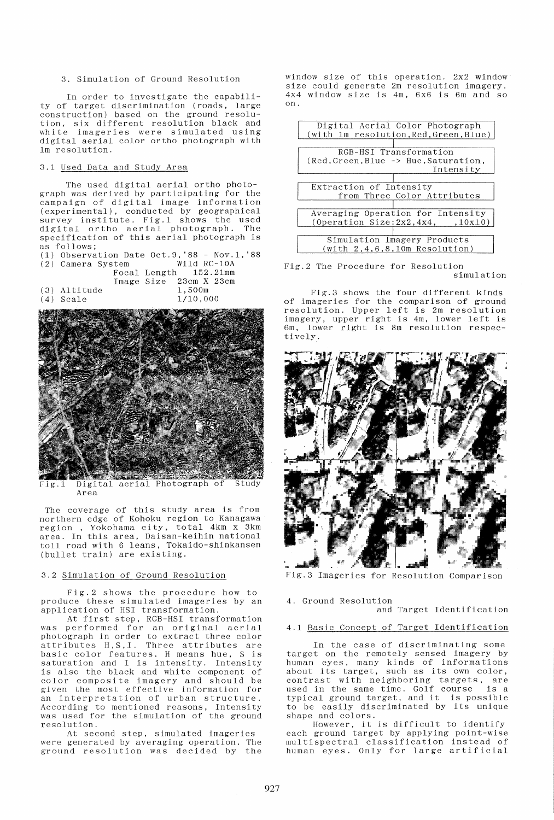## 3. Simulation of Ground Resolution

In order to investigate the capability of target discrimination (roads, large construction) based on the ground resolution, six di fferent resolution black and white imageries were simulated using digital aerial color ortho photograph with 1m resolution.

# 3.1 Used Data and Study Area

The used digital aerial ortho photograph was derived by participating for the campaign of digital image information (exper imental), conducted by geographical survey institute. Fig.1 shows the used digi tal ortho aerial photograph. The specification of this aerial photograph is as follows;

| $(1)$ Observation Date Oct.9, '88 - Nov.1, '88 |                        |               |
|------------------------------------------------|------------------------|---------------|
| (2) Camera System                              |                        | - Wild RC-10A |
|                                                | Focal Length 152.21mm  |               |
|                                                | Image Size 23cm X 23cm |               |
| (3) Altitude                                   | 1.500m                 |               |
| (4) Scale                                      |                        | 1/10,000      |



Digital aerial Photograph of Study Fig.1 Area

The coverage of this study area is from northern edge of Kohoku region to Kanagawa region, Yokohama city, total 4km x 3km area. In this area, Daisan-keihin national toll road with 6 leans, Tokaido-shinkansen (bullet train) are existing.

## 3.2 Simulation of Ground Resolution

Fig.2 shows the procedure how to produce these simulated imageries by an application of HSI transformation.

At first step, RGB-HSI transformation was performed for an original aerial photograph in order to extract three color attributes H,S,I. Three attributes are basic color features. H means hue, S is saturation and I is intensity. Intensity is also the black and white component of color composite imagery and should be given the most effective information for an interpretation of urban structure. According to mentioned reasons, Intensity was used for the simulation of the ground resolution.

At second step, simulated imageries were generated by averaging operation. The ground resolution was decided by the window size of this operation. 2x2 window size could generate 2m resolution imagery. 4x4 window size is 4m, 6x6 is 6m and so on.

|                                       | Digital Aerial Color Photograph        |  |  |
|---------------------------------------|----------------------------------------|--|--|
|                                       | (with 1m resolution, Red, Green, Blue) |  |  |
|                                       |                                        |  |  |
| RGB-HSI Transformation                |                                        |  |  |
| (Red, Green, Blue -> Hue, Saturation, |                                        |  |  |
|                                       | Intensity                              |  |  |
|                                       |                                        |  |  |
| Extraction of Intensity               |                                        |  |  |
| from Three Color Attributes           |                                        |  |  |
|                                       |                                        |  |  |
|                                       |                                        |  |  |
|                                       | Averaging Operation for Intensity      |  |  |
|                                       | (Operation Size:2x2.4x4. 10x10)        |  |  |
|                                       |                                        |  |  |
|                                       | Simulation Imagery Products            |  |  |
|                                       | (with 2, 4, 6, 8, 10m Resolution)      |  |  |

Fig.2 The Procedure for Resolution simulation

Fig.3 shows the four different kinds of imageries for the comparison of ground resolution. Upper left is 2m resolution imagery, upper right is 4m, lower left is 6m, lower right is 8m resolution respectively.



Fig.3 Imageries for Resolution Comparison

### 4. Ground Resolution and Target Identification

# 4.1 Basic Concept of Target Identification

In the case of discriminating some target on the remotely sensed imagery by human eyes, many kinds of informations about its target, such as its own color, about its target, such as its omn coror,<br>contrast with neighboring targets, are used in the same time. Golf course is a typical ground target, and it *is* possible to be easily discriminated by its unique shape and colors.

However, *it* is difficult to identify each ground target by applying point-wise multispectral classification instead of human eyes. Only for large artificial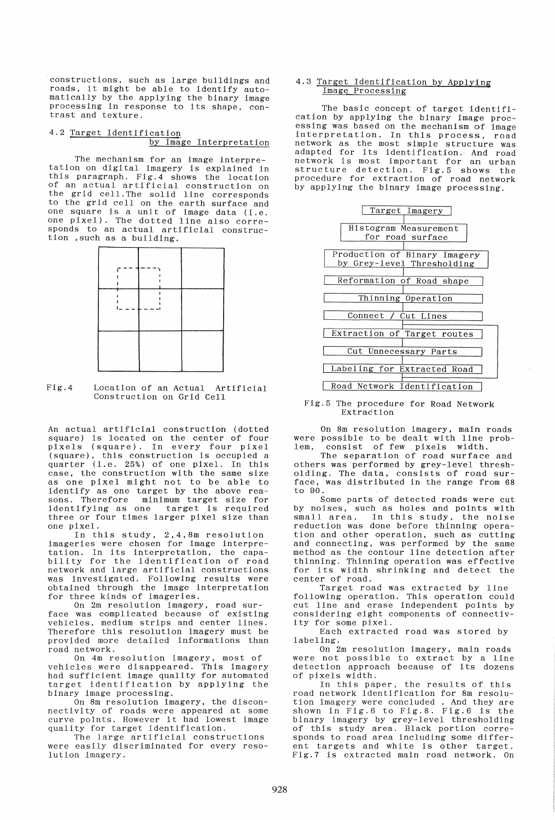constructions, such as large buildings and roads, it might be able to identify automatically by the applying the binary image processing in response to its shape, con- trast and texture.

# 4.2 Target Identification by Image Interpretation

The mechanism for an image interpretation on digital imagery is explained in this paragraph. Fig.4 shows the location of an actual artificial construction on the grid cell. The solid line corresponds to the grid cell on the earth surface and one square is a unit of image data (i.e. one pixel). The dotted line also corresponds to an actual artificial construction ,such as a building.



#### Fig.4 Location of an Actual Artificial Construction on Grid Cell

An actual artificial construction (dotted square) is located on the center of four pixels (square). In every four pixel (square), this construction is occupied a quarter (i.e. 25%) of one pixel. In this case, the construction with the same size as one pixel might not to be able to identify as one target by the above reasons. Therefore minimum target size for identifying as one target is required three or four times larger pixel size than one pixel.

In this study, 2,4,8m resolution imageries were chosen for image interpre-Imageries were chosen for image interpretation: in its interpretation, the capa-<br>bility for the identification of road bility for the reductification of road<br>network and large artificial constructions was investigated. Following results were obtained through the image interpretation for three kinds of imageries.

On 2m resolution imagery, road surface was complicated because of existing vehicles, medium strips and center lines. Therefore this resolution imagery must be provided more detailed informations than road network.

On 4m resolution imagery, most of vehicles were disappeared. This imagery had sufficient image quality for automated target identification by applying the binary image processing.

On 8m resolution imagery, the disconnectivity of roads were appeared at some<br>curve points. However it had lowest image quality for target identification.

The large artificial constructions were easily discriminated for every resolution imagery.

## 4.3 Target Identification by Applying Image Processing

The basic concept of target identification by applying the binary image processing was based on the mechanism of image interpretation. In this process, road network as the most simple structure was adapted for its identification. And road network is most important for an urban structure detection. Fig.5 shows the procedure for extraction of road network by applying the binary image processing.



#### Fig.5 The procedure for Road Network Extraction

On 8m resolution imagery, main roads were possible to be dealt with line prob-<br>lem, consist of few pixels width. consist of few pixels width.

The separation of road surface and others was performed by grey-level thresholding. The data, consists of road surface, was distributed in the range from 68 to 90.

Some parts of detected roads were cut by noises, such as holes and points with small area. In this study, the noise reduction was done before thinning operation and other operation, such as cutting and connecting, was performed by the same method as the contour line detection after thinning. Thinning operation was effective for its width shrinking and detect the center of road.

Target road was extracted by line following operation. This operation could cut line and erase independent points by considering eight components of connectivity for some pixel.

Each extracted road was stored by labeling.

On 2m resolution imagery, main roads were not possible to extract by a line were not possible to extract by a line<br>detection approach because of its dozens of pixels width.

In this paper, the results of this road network identification for 8m resolution imagery were concluded . And they are shown in Fig.6 to Fig.8. Fig.6 is the binary imagery by grey-level thresholding of this study area. Black portion corresponds to road area including some different targets and white is other target. Fig.7 is extracted main road network. On